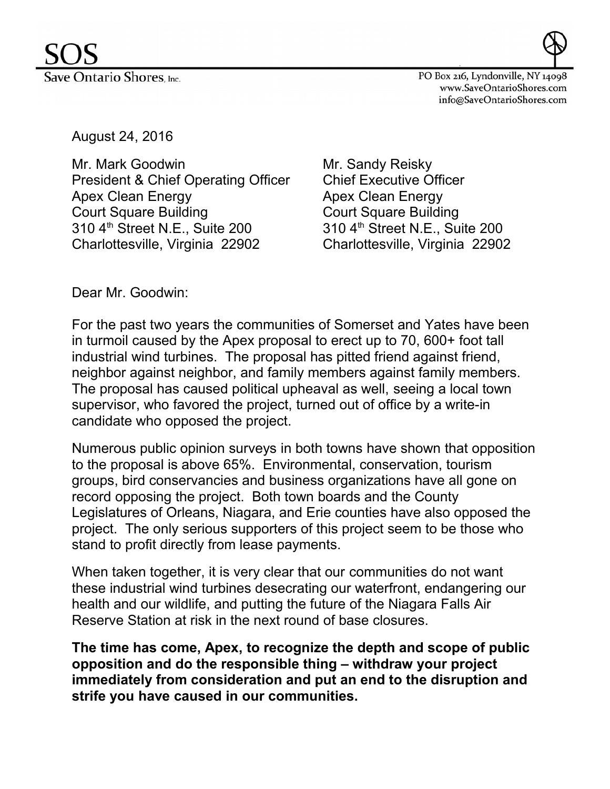



PO Box 216, Lyndonville, NY 14098 www.SaveOntarioShores.com info@SaveOntarioShores.com

August 24, 2016

Mr. Mark Goodwin Mr. Sandy Reisky President & Chief Operating Officer Chief Executive Officer Apex Clean Energy **Apex Clean Energy** Court Square Building Court Square Building 310 4<sup>th</sup> Street N.E., Suite 200 310 4<sup>th</sup> Street N.E., Suite 200 Charlottesville, Virginia 22902 Charlottesville, Virginia 22902

Dear Mr. Goodwin:

For the past two years the communities of Somerset and Yates have been in turmoil caused by the Apex proposal to erect up to 70, 600+ foot tall industrial wind turbines. The proposal has pitted friend against friend, neighbor against neighbor, and family members against family members. The proposal has caused political upheaval as well, seeing a local town supervisor, who favored the project, turned out of office by a write-in candidate who opposed the project.

Numerous public opinion surveys in both towns have shown that opposition to the proposal is above 65%. Environmental, conservation, tourism groups, bird conservancies and business organizations have all gone on record opposing the project. Both town boards and the County Legislatures of Orleans, Niagara, and Erie counties have also opposed the project. The only serious supporters of this project seem to be those who stand to profit directly from lease payments.

When taken together, it is very clear that our communities do not want these industrial wind turbines desecrating our waterfront, endangering our health and our wildlife, and putting the future of the Niagara Falls Air Reserve Station at risk in the next round of base closures.

**The time has come, Apex, to recognize the depth and scope of public opposition and do the responsible thing – withdraw your project immediately from consideration and put an end to the disruption and strife you have caused in our communities.**